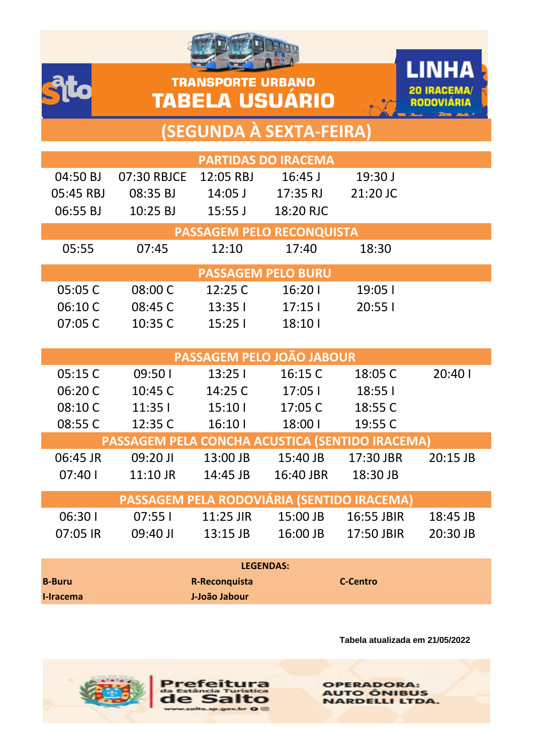





## **(SEGUNDA À SEXTA-FEIRA)**

| <b>PARTIDAS DO IRACEMA</b>                      |                                                 |                   |                           |                                       |          |
|-------------------------------------------------|-------------------------------------------------|-------------------|---------------------------|---------------------------------------|----------|
| 04:50 BJ                                        | 07:30 RBJCE                                     |                   |                           | 19:30J                                |          |
| 05:45 RBJ                                       | 08:35 BJ                                        |                   | 14:05 J 17:35 RJ          | 21:20 JC                              |          |
|                                                 |                                                 |                   |                           |                                       |          |
|                                                 |                                                 |                   | PASSAGEM PELO RECONQUISTA |                                       |          |
| 05:55                                           | 07:45                                           | 12:10             | 17:40                     | 18:30                                 |          |
|                                                 |                                                 |                   | <b>PASSAGEM PELO BURU</b> |                                       |          |
| 05:05 C                                         | 08:00 C                                         | 12:25 C           | 16:201                    | 19:05                                 |          |
| 06:10 C                                         | 08:45 C                                         | 13:351            | 17:151                    | 20:551                                |          |
| 07:05 C                                         | 10:35 C                                         | 15:251            | 18:101                    |                                       |          |
|                                                 |                                                 |                   |                           |                                       |          |
|                                                 |                                                 |                   | PASSAGEM PELO JOÃO JABOUR |                                       |          |
| 05:15 C                                         | 09:50 l                                         | 13:251            | 16:15 C                   | 18:05 C                               | 20:401   |
| 06:20 C                                         | 10:45 C                                         | 14:25 C           | 17:05                     | 18:55 l                               |          |
| 08:10 C                                         |                                                 | $11:351$ $15:101$ | 17:05 C                   | 18:55 C                               |          |
| 08:55 C                                         |                                                 | 12:35 C 16:10 I   | 18:00                     | 19:55 C                               |          |
| PASSAGEM PELA CONCHA ACUSTICA (SENTIDO IRACEMA) |                                                 |                   |                           |                                       |          |
|                                                 |                                                 |                   |                           |                                       | 20:15 JB |
|                                                 | 07:40   11:10 JR  14:45 JB  16:40 JBR  18:30 JB |                   |                           |                                       |          |
| PASSAGEM PELA RODOVIÁRIA (SENTIDO IRACEMA)      |                                                 |                   |                           |                                       |          |
| 06:301                                          |                                                 |                   |                           | 07:55   11:25 JIR 15:00 JB 16:55 JBIR | 18:45 JB |
| 07:05 IR                                        |                                                 |                   |                           |                                       | 20:30 JB |
|                                                 |                                                 |                   |                           |                                       |          |
| <b>LEGENDAS:</b>                                |                                                 |                   |                           |                                       |          |

| <b>LEGENDAS:</b> |               |                 |  |  |
|------------------|---------------|-----------------|--|--|
| <b>B-Buru</b>    | R-Reconquista | <b>C-Centro</b> |  |  |
| I-Iracema        | J-João Jabour |                 |  |  |

 $v \sim 0$ 

**Tabela atualizada em 21/05/2022**

**OPERADORA: AUTO ÔNIBUS NARDELLI LTDA.**